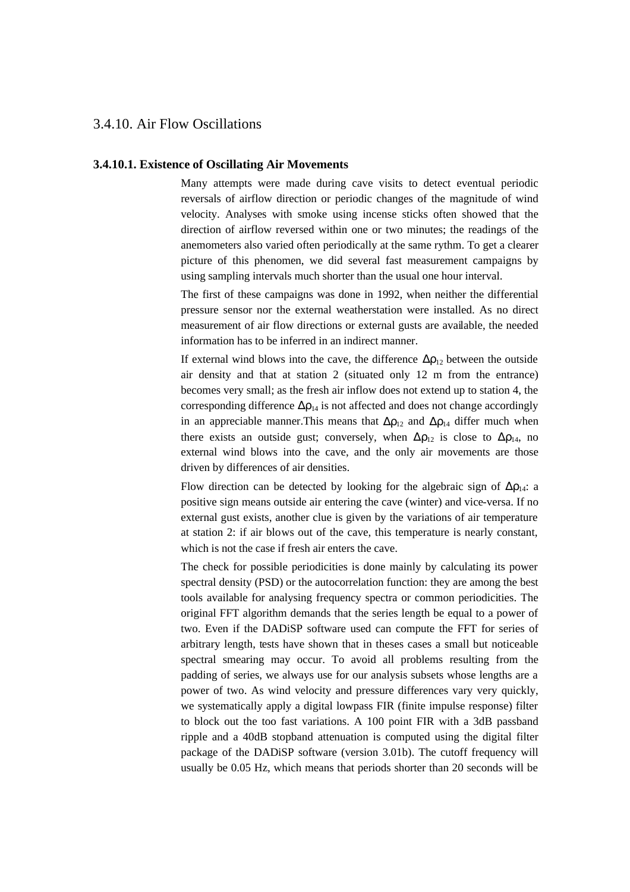## 3.4.10. Air Flow Oscillations

## **3.4.10.1. Existence of Oscillating Air Movements**

Many attempts were made during cave visits to detect eventual periodic reversals of airflow direction or periodic changes of the magnitude of wind velocity. Analyses with smoke using incense sticks often showed that the direction of airflow reversed within one or two minutes; the readings of the anemometers also varied often periodically at the same rythm. To get a clearer picture of this phenomen, we did several fast measurement campaigns by using sampling intervals much shorter than the usual one hour interval.

The first of these campaigns was done in 1992, when neither the differential pressure sensor nor the external weatherstation were installed. As no direct measurement of air flow directions or external gusts are available, the needed information has to be inferred in an indirect manner.

If external wind blows into the cave, the difference  $\Delta \rho_{12}$  between the outside air density and that at station 2 (situated only 12 m from the entrance) becomes very small; as the fresh air inflow does not extend up to station 4, the corresponding difference  $\Delta \rho_{14}$  is not affected and does not change accordingly in an appreciable manner. This means that  $\Delta \rho_{12}$  and  $\Delta \rho_{14}$  differ much when there exists an outside gust; conversely, when  $\Delta \rho_{12}$  is close to  $\Delta \rho_{14}$ , no external wind blows into the cave, and the only air movements are those driven by differences of air densities.

Flow direction can be detected by looking for the algebraic sign of  $\Delta \rho_{14}$ : a positive sign means outside air entering the cave (winter) and vice-versa. If no external gust exists, another clue is given by the variations of air temperature at station 2: if air blows out of the cave, this temperature is nearly constant, which is not the case if fresh air enters the cave.

The check for possible periodicities is done mainly by calculating its power spectral density (PSD) or the autocorrelation function: they are among the best tools available for analysing frequency spectra or common periodicities. The original FFT algorithm demands that the series length be equal to a power of two. Even if the DADiSP software used can compute the FFT for series of arbitrary length, tests have shown that in theses cases a small but noticeable spectral smearing may occur. To avoid all problems resulting from the padding of series, we always use for our analysis subsets whose lengths are a power of two. As wind velocity and pressure differences vary very quickly, we systematically apply a digital lowpass FIR (finite impulse response) filter to block out the too fast variations. A 100 point FIR with a 3dB passband ripple and a 40dB stopband attenuation is computed using the digital filter package of the DADiSP software (version 3.01b). The cutoff frequency will usually be 0.05 Hz, which means that periods shorter than 20 seconds will be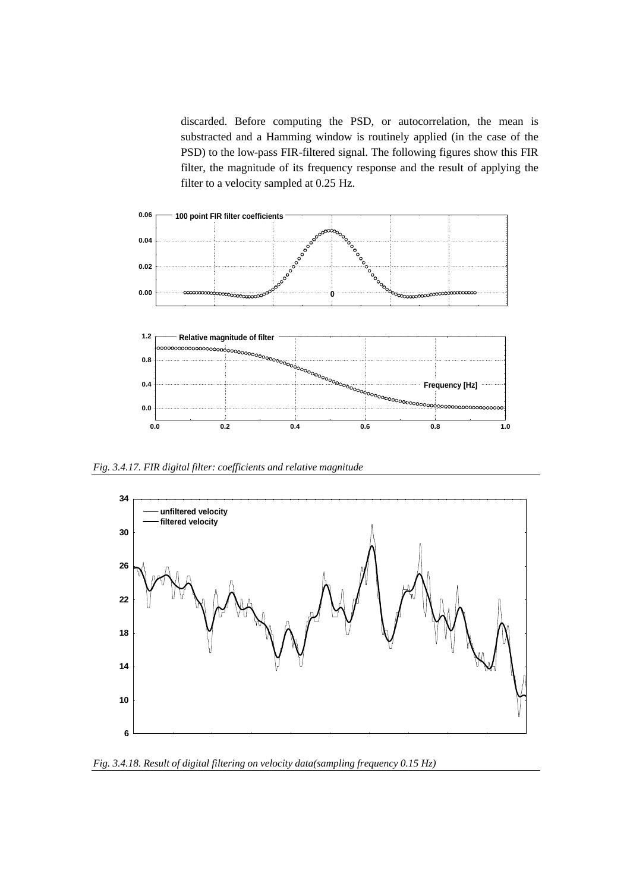discarded. Before computing the PSD, or autocorrelation, the mean is substracted and a Hamming window is routinely applied (in the case of the PSD) to the low-pass FIR-filtered signal. The following figures show this FIR filter, the magnitude of its frequency response and the result of applying the filter to a velocity sampled at 0.25 Hz.



*Fig. 3.4.17. FIR digital filter: coefficients and relative magnitude*



*Fig. 3.4.18. Result of digital filtering on velocity data(sampling frequency 0.15 Hz)*